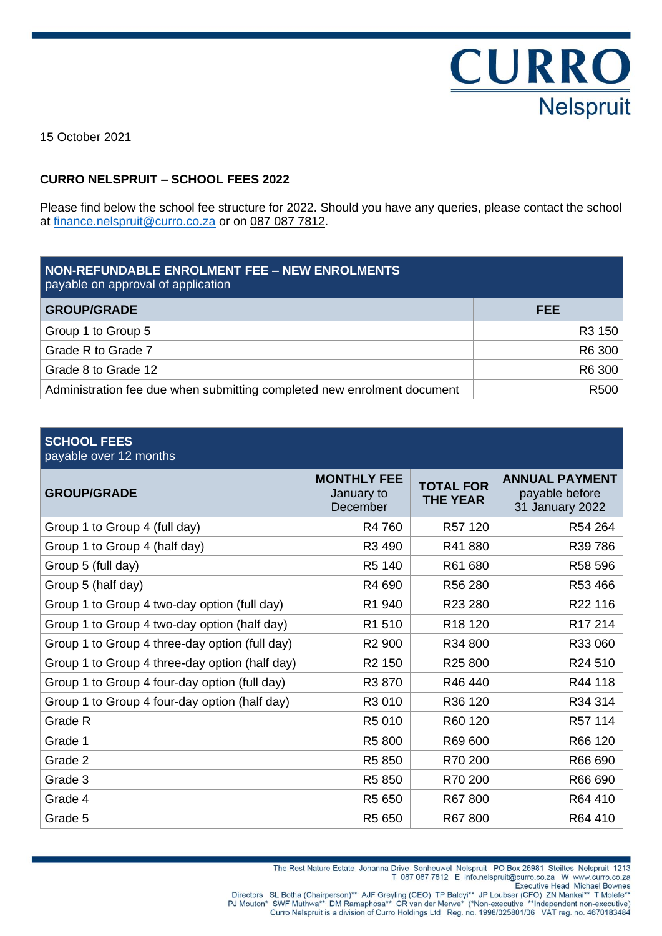**CURRO Nelspruit** 

15 October 2021

#### **CURRO NELSPRUIT – SCHOOL FEES 2022**

Please find below the school fee structure for 2022. Should you have any queries, please contact the school at [finance.nelspruit@curro.co.za](mailto:finance.nelspruit@curro.co.za) or on 087 087 7812.

| NON-REFUNDABLE ENROLMENT FEE - NEW ENROLMENTS<br>payable on approval of application |        |  |
|-------------------------------------------------------------------------------------|--------|--|
| <b>GROUP/GRADE</b>                                                                  | FEE.   |  |
| Group 1 to Group 5                                                                  | R3 150 |  |
| Grade R to Grade 7                                                                  | R6 300 |  |
| Grade 8 to Grade 12                                                                 | R6 300 |  |
| Administration fee due when submitting completed new enrolment document             | R500   |  |

#### **SCHOOL FEES**

#### payable over 12 months

| <b>GROUP/GRADE</b>                             | <b>MONTHLY FEE</b><br>January to<br>December | <b>TOTAL FOR</b><br><b>THE YEAR</b> | <b>ANNUAL PAYMENT</b><br>payable before<br>31 January 2022 |
|------------------------------------------------|----------------------------------------------|-------------------------------------|------------------------------------------------------------|
| Group 1 to Group 4 (full day)                  | R4 760                                       | R57 120                             | R54 264                                                    |
| Group 1 to Group 4 (half day)                  | R3 490                                       | R41880                              | R39 786                                                    |
| Group 5 (full day)                             | R5 140                                       | R61 680                             | R58 596                                                    |
| Group 5 (half day)                             | R4 690                                       | R56 280                             | R53 466                                                    |
| Group 1 to Group 4 two-day option (full day)   | R1 940                                       | R23 280                             | R22 116                                                    |
| Group 1 to Group 4 two-day option (half day)   | R1 510                                       | R <sub>18</sub> 120                 | R <sub>17</sub> 214                                        |
| Group 1 to Group 4 three-day option (full day) | R <sub>2</sub> 900                           | R34 800                             | R33 060                                                    |
| Group 1 to Group 4 three-day option (half day) | R <sub>2</sub> 150                           | R <sub>25</sub> 800                 | R24 510                                                    |
| Group 1 to Group 4 four-day option (full day)  | R3 870                                       | R46440                              | R44 118                                                    |
| Group 1 to Group 4 four-day option (half day)  | R3 010                                       | R36 120                             | R34 314                                                    |
| Grade R                                        | R5 010                                       | R60 120                             | R57 114                                                    |
| Grade 1                                        | R5 800                                       | R69 600                             | R66 120                                                    |
| Grade 2                                        | R5 850                                       | R70 200                             | R66 690                                                    |
| Grade 3                                        | R5 850                                       | R70 200                             | R66 690                                                    |
| Grade 4                                        | R5 650                                       | R67800                              | R64 410                                                    |
| Grade 5                                        | R <sub>5</sub> 650                           | R67800                              | R64 410                                                    |

The Rest Nature Estate Johanna Drive Sonheuwel Nelspruit PO Box 26981 Steiltes Nelspruit 1213 T 087 087 7812 E info.nelspruit@curro.co.za W www.curro.co.za **Executive Head Michael Bownes** 

Directors SL Botha (Chairperson)\*\* AJF Greyling (CEO) TP Baloyi\*\* JP Loubser (CFO) ZN Mankai\*\* T Molefe\*\*<br>PJ Mouton\* SWF Muthwa\*\* DM Ramaphosa\*\* CR van der Merwe\* (\*Non-executive \*\*Independent non-executive)<br>Curro Nelsprui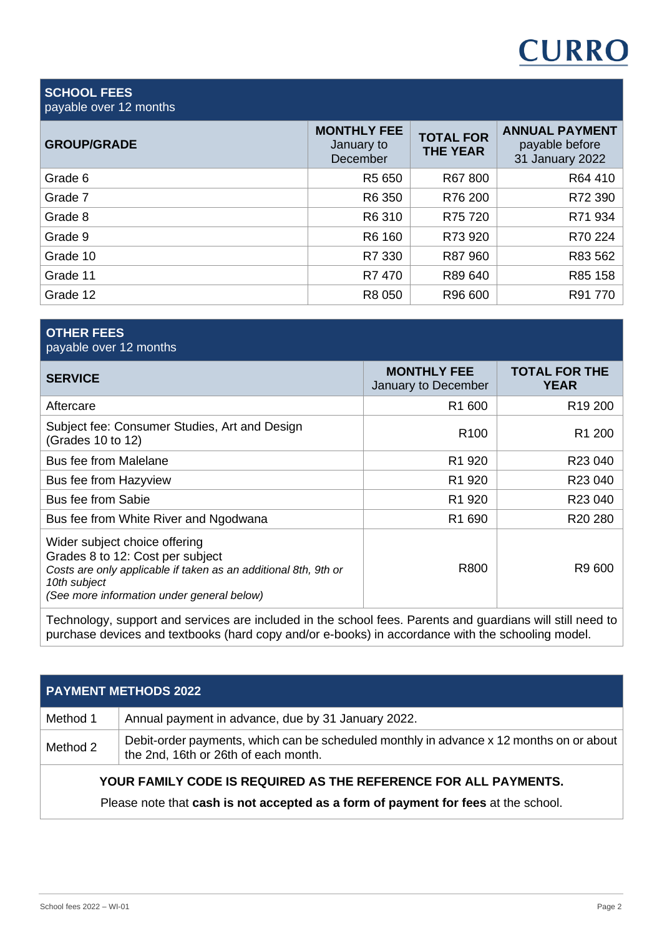# **CURRO**

#### **SCHOOL FEES** payable over 12 months

| <b>GROUP/GRADE</b> | <b>MONTHLY FEE</b><br>January to<br>December | <b>TOTAL FOR</b><br><b>THE YEAR</b> | <b>ANNUAL PAYMENT</b><br>payable before<br>31 January 2022 |
|--------------------|----------------------------------------------|-------------------------------------|------------------------------------------------------------|
| Grade 6            | R5 650                                       | R67 800                             | R64 410                                                    |
| Grade 7            | R6 350                                       | R76 200                             | R72 390                                                    |
| Grade 8            | R6 310                                       | R75 720                             | R71 934                                                    |
| Grade 9            | R6 160                                       | R73 920                             | R70 224                                                    |
| Grade 10           | R7 330                                       | R87 960                             | R83 562                                                    |
| Grade 11           | R7 470                                       | R89 640                             | R85 158                                                    |
| Grade 12           | R8 050                                       | R96 600                             | R91 770                                                    |

#### **OTHER FEES** payable over 12 months

| <b>SERVICE</b>                                                                                                                                                                                     | <b>MONTHLY FEE</b><br>January to December | <b>TOTAL FOR THE</b><br><b>YEAR</b> |
|----------------------------------------------------------------------------------------------------------------------------------------------------------------------------------------------------|-------------------------------------------|-------------------------------------|
| Aftercare                                                                                                                                                                                          | R <sub>1</sub> 600                        | R <sub>19</sub> 200                 |
| Subject fee: Consumer Studies, Art and Design<br>(Grades 10 to 12)                                                                                                                                 | R <sub>100</sub>                          | R <sub>1</sub> 200                  |
| <b>Bus fee from Malelane</b>                                                                                                                                                                       | R <sub>1</sub> 920                        | R23 040                             |
| Bus fee from Hazyview                                                                                                                                                                              | R1 920                                    | R23 040                             |
| <b>Bus fee from Sabie</b>                                                                                                                                                                          | R <sub>1</sub> 920                        | R23 040                             |
| Bus fee from White River and Ngodwana                                                                                                                                                              | R <sub>1</sub> 690                        | R20 280                             |
| Wider subject choice offering<br>Grades 8 to 12: Cost per subject<br>Costs are only applicable if taken as an additional 8th, 9th or<br>10th subject<br>(See more information under general below) | R800                                      | R9 600                              |

Technology, support and services are included in the school fees. Parents and guardians will still need to purchase devices and textbooks (hard copy and/or e-books) in accordance with the schooling model.

| <b>PAYMENT METHODS 2022</b>                                     |                                                                                                                                 |  |
|-----------------------------------------------------------------|---------------------------------------------------------------------------------------------------------------------------------|--|
| Method 1                                                        | Annual payment in advance, due by 31 January 2022.                                                                              |  |
| Method 2                                                        | Debit-order payments, which can be scheduled monthly in advance x 12 months on or about<br>the 2nd, 16th or 26th of each month. |  |
| YOUR FAMILY CODE IS REQUIRED AS THE REFERENCE FOR ALL PAYMENTS. |                                                                                                                                 |  |

Please note that **cash is not accepted as a form of payment for fees** at the school.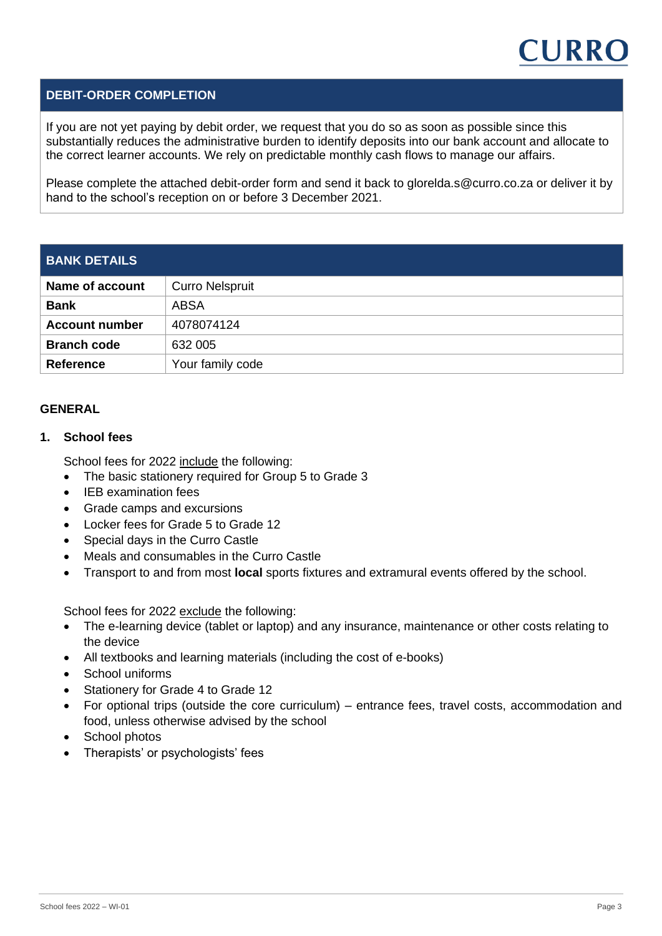

#### **DEBIT-ORDER COMPLETION**

If you are not yet paying by debit order, we request that you do so as soon as possible since this substantially reduces the administrative burden to identify deposits into our bank account and allocate to the correct learner accounts. We rely on predictable monthly cash flows to manage our affairs.

Please complete the attached debit-order form and send it back to [glorelda.s@curro.co.za](mailto:glorelda.s@curro.co.za) or deliver it by hand to the school's reception on or before 3 December 2021.

### **BANK DETAILS**

| Name of account       | <b>Curro Nelspruit</b> |
|-----------------------|------------------------|
| <b>Bank</b>           | ABSA                   |
| <b>Account number</b> | 4078074124             |
| <b>Branch code</b>    | 632 005                |
| <b>Reference</b>      | Your family code       |

#### **GENERAL**

#### **1. School fees**

School fees for 2022 include the following:

- The basic stationery required for Group 5 to Grade 3
- IEB examination fees
- Grade camps and excursions
- Locker fees for Grade 5 to Grade 12
- Special days in the Curro Castle
- Meals and consumables in the Curro Castle
- Transport to and from most **local** sports fixtures and extramural events offered by the school.

School fees for 2022 exclude the following:

- The e-learning device (tablet or laptop) and any insurance, maintenance or other costs relating to the device
- All textbooks and learning materials (including the cost of e-books)
- **School uniforms**
- Stationery for Grade 4 to Grade 12
- For optional trips (outside the core curriculum) entrance fees, travel costs, accommodation and food, unless otherwise advised by the school
- School photos
- Therapists' or psychologists' fees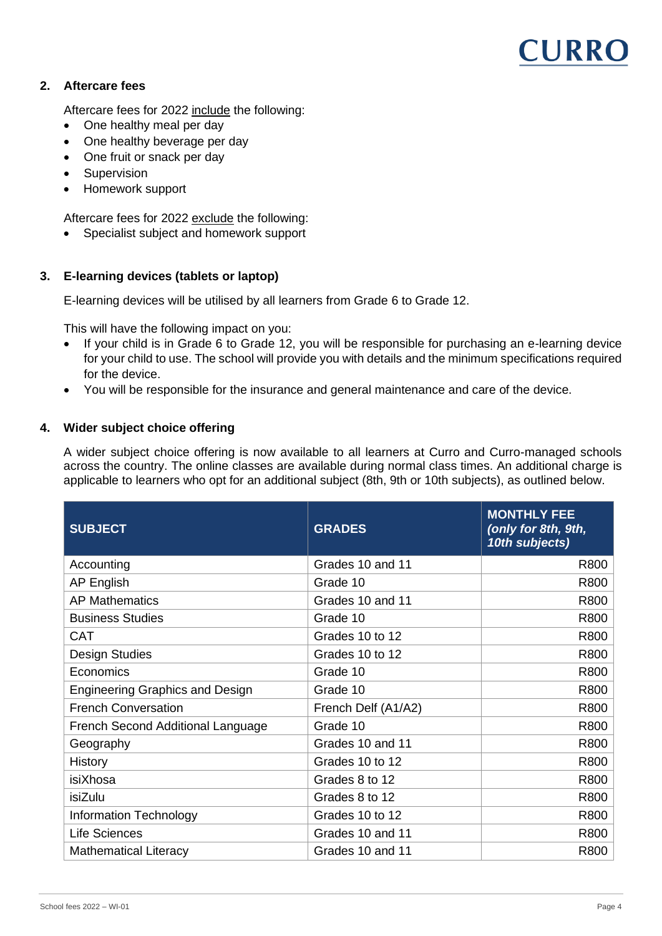### CURRO

#### **2. Aftercare fees**

Aftercare fees for 2022 include the following:

- One healthy meal per day
- One healthy beverage per day
- One fruit or snack per day
- Supervision
- Homework support

Aftercare fees for 2022 exclude the following:

• Specialist subject and homework support

#### **3. E-learning devices (tablets or laptop)**

E-learning devices will be utilised by all learners from Grade 6 to Grade 12.

This will have the following impact on you:

- If your child is in Grade 6 to Grade 12, you will be responsible for purchasing an e-learning device for your child to use. The school will provide you with details and the minimum specifications required for the device.
- You will be responsible for the insurance and general maintenance and care of the device.

#### **4. Wider subject choice offering**

A wider subject choice offering is now available to all learners at Curro and Curro-managed schools across the country. The online classes are available during normal class times. An additional charge is applicable to learners who opt for an additional subject (8th, 9th or 10th subjects), as outlined below.

| <b>SUBJECT</b>                         | <b>GRADES</b>       | <b>MONTHLY FEE</b><br>(only for 8th, 9th,<br>10th subjects) |
|----------------------------------------|---------------------|-------------------------------------------------------------|
| Accounting                             | Grades 10 and 11    | R800                                                        |
| <b>AP English</b>                      | Grade 10            | R800                                                        |
| <b>AP Mathematics</b>                  | Grades 10 and 11    | R800                                                        |
| <b>Business Studies</b>                | Grade 10            | R800                                                        |
| <b>CAT</b>                             | Grades 10 to 12     | R800                                                        |
| <b>Design Studies</b>                  | Grades 10 to 12     | R800                                                        |
| Economics                              | Grade 10            | R800                                                        |
| <b>Engineering Graphics and Design</b> | Grade 10            | R800                                                        |
| <b>French Conversation</b>             | French Delf (A1/A2) | R800                                                        |
| French Second Additional Language      | Grade 10            | R800                                                        |
| Geography                              | Grades 10 and 11    | R800                                                        |
| History                                | Grades 10 to 12     | R800                                                        |
| isiXhosa                               | Grades 8 to 12      | R800                                                        |
| isiZulu                                | Grades 8 to 12      | R800                                                        |
| <b>Information Technology</b>          | Grades 10 to 12     | R800                                                        |
| <b>Life Sciences</b>                   | Grades 10 and 11    | R800                                                        |
| <b>Mathematical Literacy</b>           | Grades 10 and 11    | R800                                                        |